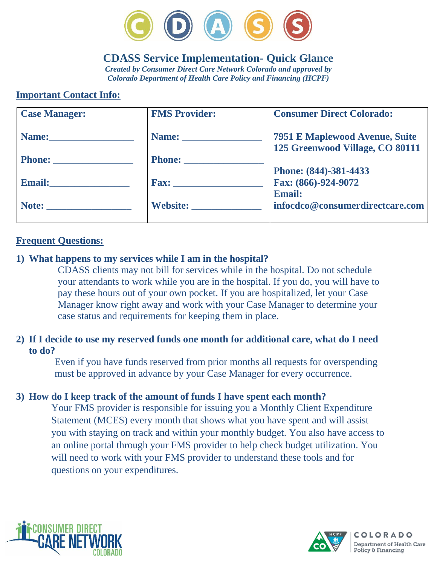

# **CDASS Service Implementation- Quick Glance**

*Created by Consumer Direct Care Network Colorado and approved by Colorado Department of Health Care Policy and Financing (HCPF)*

# **Important Contact Info:**

| <b>Case Manager:</b>                                                                                                                                                                                                           | <b>FMS Provider:</b> | <b>Consumer Direct Colorado:</b>                                         |
|--------------------------------------------------------------------------------------------------------------------------------------------------------------------------------------------------------------------------------|----------------------|--------------------------------------------------------------------------|
|                                                                                                                                                                                                                                |                      | <b>7951 E Maplewood Avenue, Suite</b><br>125 Greenwood Village, CO 80111 |
|                                                                                                                                                                                                                                | Phone:               |                                                                          |
|                                                                                                                                                                                                                                |                      | Phone: (844)-381-4433                                                    |
| Email: The Contract of the Contract of the Contract of the Contract of the Contract of the Contract of the Contract of the Contract of the Contract of the Contract of the Contract of the Contract of the Contract of the Con |                      | Fax: (866)-924-9072                                                      |
|                                                                                                                                                                                                                                |                      | <b>Email:</b>                                                            |
|                                                                                                                                                                                                                                | Website:             | infocdco@consumerdirectcare.com                                          |
|                                                                                                                                                                                                                                |                      |                                                                          |

#### **Frequent Questions:**

#### **1) What happens to my services while I am in the hospital?**

CDASS clients may not bill for services while in the hospital. Do not schedule your attendants to work while you are in the hospital. If you do, you will have to pay these hours out of your own pocket. If you are hospitalized, let your Case Manager know right away and work with your Case Manager to determine your case status and requirements for keeping them in place.

#### **2) If I decide to use my reserved funds one month for additional care, what do I need to do?**

Even if you have funds reserved from prior months all requests for overspending must be approved in advance by your Case Manager for every occurrence.

#### **3) How do I keep track of the amount of funds I have spent each month?**

Your FMS provider is responsible for issuing you a Monthly Client Expenditure Statement (MCES) every month that shows what you have spent and will assist you with staying on track and within your monthly budget. You also have access to an online portal through your FMS provider to help check budget utilization. You will need to work with your FMS provider to understand these tools and for questions on your expenditures.



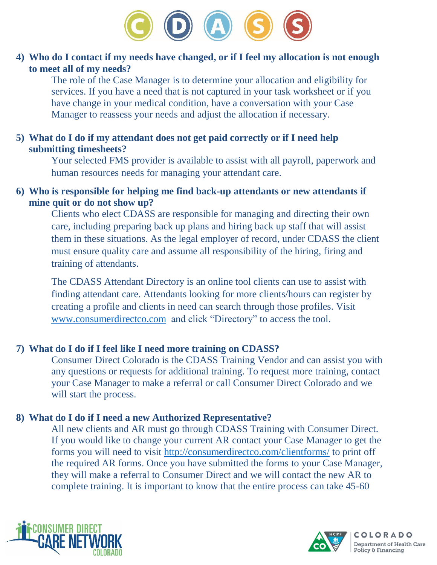

# **4) Who do I contact if my needs have changed, or if I feel my allocation is not enough to meet all of my needs?**

The role of the Case Manager is to determine your allocation and eligibility for services. If you have a need that is not captured in your task worksheet or if you have change in your medical condition, have a conversation with your Case Manager to reassess your needs and adjust the allocation if necessary.

### **5) What do I do if my attendant does not get paid correctly or if I need help submitting timesheets?**

Your selected FMS provider is available to assist with all payroll, paperwork and human resources needs for managing your attendant care.

#### **6) Who is responsible for helping me find back-up attendants or new attendants if mine quit or do not show up?**

Clients who elect CDASS are responsible for managing and directing their own care, including preparing back up plans and hiring back up staff that will assist them in these situations. As the legal employer of record, under CDASS the client must ensure quality care and assume all responsibility of the hiring, firing and training of attendants.

The CDASS Attendant Directory is an online tool clients can use to assist with finding attendant care. Attendants looking for more clients/hours can register by creating a profile and clients in need can search through those profiles. Visit [www.consumerdirectco.com](http://www.consumerdirectco.com/) and click "Directory" to access the tool.

## **7) What do I do if I feel like I need more training on CDASS?**

Consumer Direct Colorado is the CDASS Training Vendor and can assist you with any questions or requests for additional training. To request more training, contact your Case Manager to make a referral or call Consumer Direct Colorado and we will start the process.

# **8) What do I do if I need a new Authorized Representative?**

All new clients and AR must go through CDASS Training with Consumer Direct. If you would like to change your current AR contact your Case Manager to get the forms you will need to visit<http://consumerdirectco.com/clientforms/> to print off the required AR forms. Once you have submitted the forms to your Case Manager, they will make a referral to Consumer Direct and we will contact the new AR to complete training. It is important to know that the entire process can take 45-60